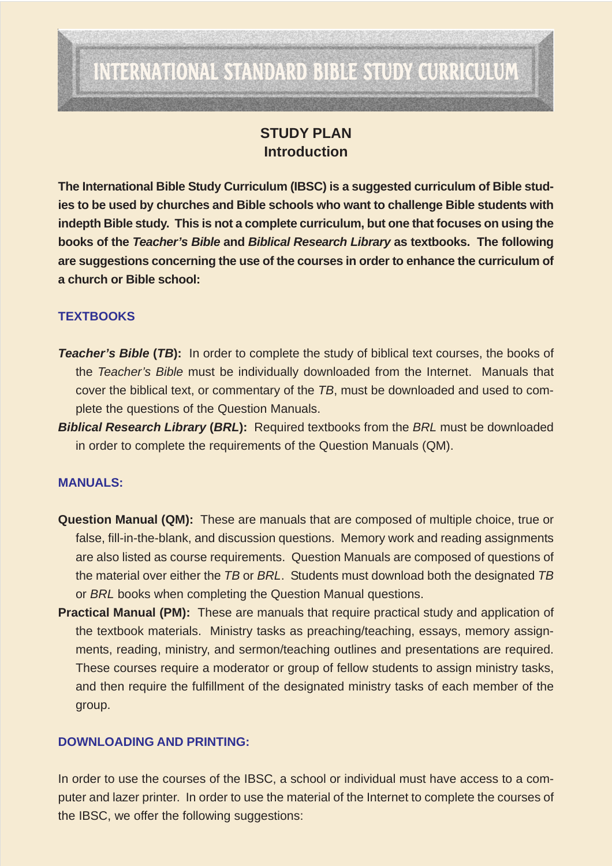# INTERNATIONAL STANDARD BIBLE STUDY CURRICULUM

## **STUDY PLAN Introduction**

**The International Bible Study Curriculum (IBSC) is a suggested curriculum of Bible studies to be used by churches and Bible schools who want to challenge Bible students with indepth Bible study. This is not a complete curriculum, but one that focuses on using the books of the** *Teacher's Bible* **and** *Biblical Research Library* **as textbooks. The following are suggestions concerning the use of the courses in order to enhance the curriculum of a church or Bible school:**

### **TEXTBOOKS**

- **Teacher's Bible (TB):** In order to complete the study of biblical text courses, the books of the *Teacher's Bible* must be individually downloaded from the Internet. Manuals that cover the biblical text, or commentary of the *TB*, must be downloaded and used to complete the questions of the Question Manuals.
- *Biblical Research Library* **(***BRL***):** Required textbooks from the *BRL* must be downloaded in order to complete the requirements of the Question Manuals (QM).

#### **MANUALS:**

- **Question Manual (QM):** These are manuals that are composed of multiple choice, true or false, fill-in-the-blank, and discussion questions. Memory work and reading assignments are also listed as course requirements. Question Manuals are composed of questions of the material over either the *TB* or *BRL*. Students must download both the designated *TB* or *BRL* books when completing the Question Manual questions.
- **Practical Manual (PM):** These are manuals that require practical study and application of the textbook materials. Ministry tasks as preaching/teaching, essays, memory assignments, reading, ministry, and sermon/teaching outlines and presentations are required. These courses require a moderator or group of fellow students to assign ministry tasks, and then require the fulfillment of the designated ministry tasks of each member of the group.

#### **DOWNLOADING AND PRINTING:**

In order to use the courses of the IBSC, a school or individual must have access to a computer and lazer printer. In order to use the material of the Internet to complete the courses of the IBSC, we offer the following suggestions: